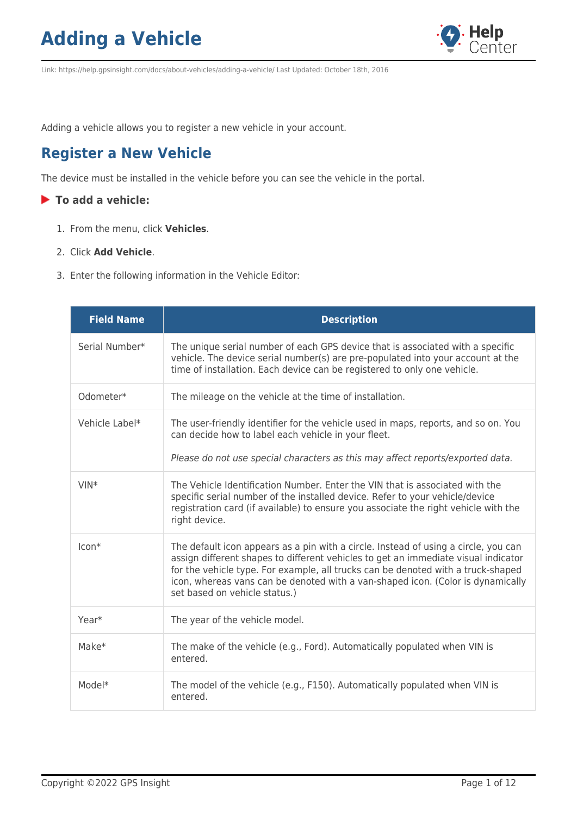

Link: https://help.gpsinsight.com/docs/about-vehicles/adding-a-vehicle/ Last Updated: October 18th, 2016

Adding a vehicle allows you to register a new vehicle in your account.

#### **Register a New Vehicle**

The device must be installed in the vehicle before you can see the vehicle in the portal.

#### **To add a vehicle:**

- 1. From the menu, click **Vehicles**.
- 2. Click **Add Vehicle**.
- 3. Enter the following information in the Vehicle Editor:

| <b>Field Name</b> | <b>Description</b>                                                                                                                                                                                                                                                                                                                                                                |
|-------------------|-----------------------------------------------------------------------------------------------------------------------------------------------------------------------------------------------------------------------------------------------------------------------------------------------------------------------------------------------------------------------------------|
| Serial Number*    | The unique serial number of each GPS device that is associated with a specific<br>vehicle. The device serial number(s) are pre-populated into your account at the<br>time of installation. Each device can be registered to only one vehicle.                                                                                                                                     |
| Odometer*         | The mileage on the vehicle at the time of installation.                                                                                                                                                                                                                                                                                                                           |
| Vehicle Label*    | The user-friendly identifier for the vehicle used in maps, reports, and so on. You<br>can decide how to label each vehicle in your fleet.                                                                                                                                                                                                                                         |
|                   | Please do not use special characters as this may affect reports/exported data.                                                                                                                                                                                                                                                                                                    |
| $VIN*$            | The Vehicle Identification Number. Enter the VIN that is associated with the<br>specific serial number of the installed device. Refer to your vehicle/device<br>registration card (if available) to ensure you associate the right vehicle with the<br>right device.                                                                                                              |
| $Icon*$           | The default icon appears as a pin with a circle. Instead of using a circle, you can<br>assign different shapes to different vehicles to get an immediate visual indicator<br>for the vehicle type. For example, all trucks can be denoted with a truck-shaped<br>icon, whereas vans can be denoted with a van-shaped icon. (Color is dynamically<br>set based on vehicle status.) |
| Year*             | The year of the vehicle model.                                                                                                                                                                                                                                                                                                                                                    |
| $Make*$           | The make of the vehicle (e.g., Ford). Automatically populated when VIN is<br>entered.                                                                                                                                                                                                                                                                                             |
| Model*            | The model of the vehicle (e.g., F150). Automatically populated when VIN is<br>entered.                                                                                                                                                                                                                                                                                            |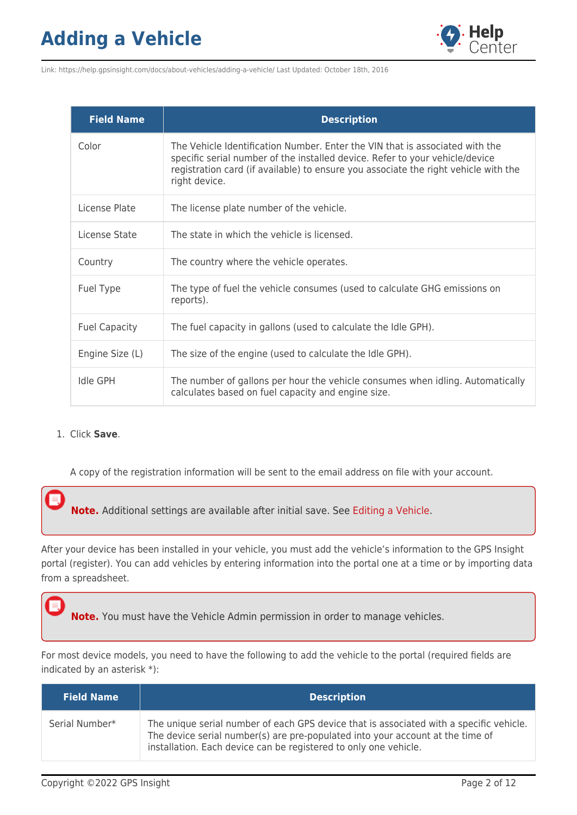

Link: https://help.gpsinsight.com/docs/about-vehicles/adding-a-vehicle/ Last Updated: October 18th, 2016

| <b>Field Name</b>    | <b>Description</b>                                                                                                                                                                                                                                                   |
|----------------------|----------------------------------------------------------------------------------------------------------------------------------------------------------------------------------------------------------------------------------------------------------------------|
| Color                | The Vehicle Identification Number. Enter the VIN that is associated with the<br>specific serial number of the installed device. Refer to your vehicle/device<br>registration card (if available) to ensure you associate the right vehicle with the<br>right device. |
| License Plate        | The license plate number of the vehicle.                                                                                                                                                                                                                             |
| License State        | The state in which the vehicle is licensed.                                                                                                                                                                                                                          |
| Country              | The country where the vehicle operates.                                                                                                                                                                                                                              |
| Fuel Type            | The type of fuel the vehicle consumes (used to calculate GHG emissions on<br>reports).                                                                                                                                                                               |
| <b>Fuel Capacity</b> | The fuel capacity in gallons (used to calculate the Idle GPH).                                                                                                                                                                                                       |
| Engine Size (L)      | The size of the engine (used to calculate the Idle GPH).                                                                                                                                                                                                             |
| <b>Idle GPH</b>      | The number of gallons per hour the vehicle consumes when idling. Automatically<br>calculates based on fuel capacity and engine size.                                                                                                                                 |

#### 1. Click **Save**.

A copy of the registration information will be sent to the email address on file with your account.

**Note.** Additional settings are available after initial save. See [Editing a Vehicle](https://help.gpsinsight.com/documentation/editing-a-vehicle/).

After your device has been installed in your vehicle, you must add the vehicle's information to the GPS Insight portal (register). You can add vehicles by entering information into the portal one at a time or by importing data from a spreadsheet.

**Note.** You must have the Vehicle Admin permission in order to manage vehicles.

For most device models, you need to have the following to add the vehicle to the portal (required fields are indicated by an asterisk \*):

| <b>Field Name</b> | <b>Description</b>                                                                                                                                                                                                                            |
|-------------------|-----------------------------------------------------------------------------------------------------------------------------------------------------------------------------------------------------------------------------------------------|
| Serial Number*    | The unique serial number of each GPS device that is associated with a specific vehicle.<br>The device serial number(s) are pre-populated into your account at the time of<br>installation. Each device can be registered to only one vehicle. |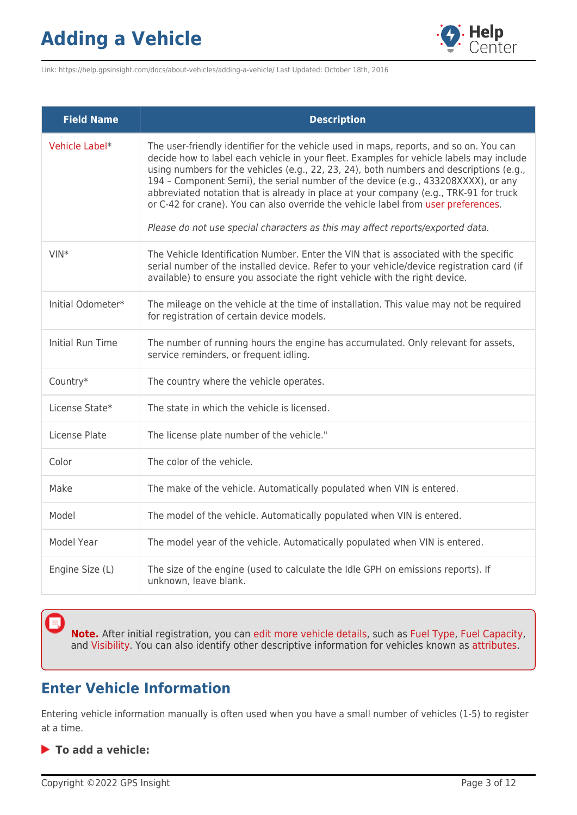

Link: https://help.gpsinsight.com/docs/about-vehicles/adding-a-vehicle/ Last Updated: October 18th, 2016

| <b>Field Name</b>       | <b>Description</b>                                                                                                                                                                                                                                                                                                                                                                                                                                                                                                                                                                                                                 |
|-------------------------|------------------------------------------------------------------------------------------------------------------------------------------------------------------------------------------------------------------------------------------------------------------------------------------------------------------------------------------------------------------------------------------------------------------------------------------------------------------------------------------------------------------------------------------------------------------------------------------------------------------------------------|
| Vehicle Label*          | The user-friendly identifier for the vehicle used in maps, reports, and so on. You can<br>decide how to label each vehicle in your fleet. Examples for vehicle labels may include<br>using numbers for the vehicles (e.g., 22, 23, 24), both numbers and descriptions (e.g.,<br>194 - Component Semi), the serial number of the device (e.g., 433208XXXX), or any<br>abbreviated notation that is already in place at your company (e.g., TRK-91 for truck<br>or C-42 for crane). You can also override the vehicle label from user preferences.<br>Please do not use special characters as this may affect reports/exported data. |
| $VIN*$                  | The Vehicle Identification Number. Enter the VIN that is associated with the specific<br>serial number of the installed device. Refer to your vehicle/device registration card (if<br>available) to ensure you associate the right vehicle with the right device.                                                                                                                                                                                                                                                                                                                                                                  |
| Initial Odometer*       | The mileage on the vehicle at the time of installation. This value may not be required<br>for registration of certain device models.                                                                                                                                                                                                                                                                                                                                                                                                                                                                                               |
| <b>Initial Run Time</b> | The number of running hours the engine has accumulated. Only relevant for assets,<br>service reminders, or frequent idling.                                                                                                                                                                                                                                                                                                                                                                                                                                                                                                        |
| Country*                | The country where the vehicle operates.                                                                                                                                                                                                                                                                                                                                                                                                                                                                                                                                                                                            |
| License State*          | The state in which the vehicle is licensed.                                                                                                                                                                                                                                                                                                                                                                                                                                                                                                                                                                                        |
| License Plate           | The license plate number of the vehicle."                                                                                                                                                                                                                                                                                                                                                                                                                                                                                                                                                                                          |
| Color                   | The color of the vehicle.                                                                                                                                                                                                                                                                                                                                                                                                                                                                                                                                                                                                          |
| Make                    | The make of the vehicle. Automatically populated when VIN is entered.                                                                                                                                                                                                                                                                                                                                                                                                                                                                                                                                                              |
| Model                   | The model of the vehicle. Automatically populated when VIN is entered.                                                                                                                                                                                                                                                                                                                                                                                                                                                                                                                                                             |
| Model Year              | The model year of the vehicle. Automatically populated when VIN is entered.                                                                                                                                                                                                                                                                                                                                                                                                                                                                                                                                                        |
| Engine Size (L)         | The size of the engine (used to calculate the Idle GPH on emissions reports). If<br>unknown, leave blank.                                                                                                                                                                                                                                                                                                                                                                                                                                                                                                                          |

**Note.** After initial registration, you can [edit more vehicle details,](https://help.gpsinsight.com/docs/vehicle-setup/editing-a-vehicle/) such as [Fuel Type](https://help.gpsinsight.com/docs/vehicle-setup/managing-fuel-and-emissions-information/), [Fuel Capacity,](https://help.gpsinsight.com/docs/vehicle-setup/managing-fuel-and-emissions-information/) and [Visibility.](https://help.gpsinsight.com/deep-dive/how-do-i-hide-a-vehicles-location/) You can also identify other descriptive information for vehicles known as [attributes](https://help.gpsinsight.com/docs/about-attributes/).

#### **Enter Vehicle Information**

Entering vehicle information manually is often used when you have a small number of vehicles (1-5) to register at a time.

**To add a vehicle:**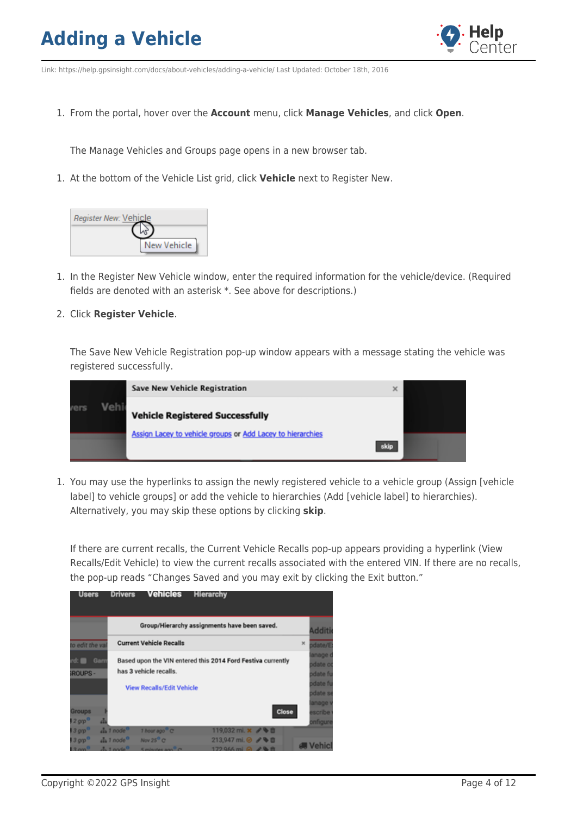

Link: https://help.gpsinsight.com/docs/about-vehicles/adding-a-vehicle/ Last Updated: October 18th, 2016

1. From the portal, hover over the **Account** menu, click **Manage Vehicles**, and click **Open**.

The Manage Vehicles and Groups page opens in a new browser tab.

1. At the bottom of the Vehicle List grid, click **Vehicle** next to Register New.

| Register New: Vehicle |             |
|-----------------------|-------------|
|                       |             |
|                       | New Vehicle |

- 1. In the Register New Vehicle window, enter the required information for the vehicle/device. (Required fields are denoted with an asterisk \*. See above for descriptions.)
- 2. Click **Register Vehicle**.

The Save New Vehicle Registration pop-up window appears with a message stating the vehicle was registered successfully.

|             |      | <b>Save New Vehicle Registration</b><br>$\times$                   |  |
|-------------|------|--------------------------------------------------------------------|--|
| <i>rers</i> | Veh. | <b>Vehicle Registered Successfully</b>                             |  |
|             |      | Assign Lacey to vehicle groups or Add Lacey to hierarchies<br>skip |  |

1. You may use the hyperlinks to assign the newly registered vehicle to a vehicle group (Assign [vehicle label] to vehicle groups] or add the vehicle to hierarchies (Add [vehicle label] to hierarchies). Alternatively, you may skip these options by clicking **skip**.

If there are current recalls, the Current Vehicle Recalls pop-up appears providing a hyperlink (View Recalls/Edit Vehicle) to view the current recalls associated with the entered VIN. If there are no recalls, the pop-up reads "Changes Saved and you may exit by clicking the Exit button."

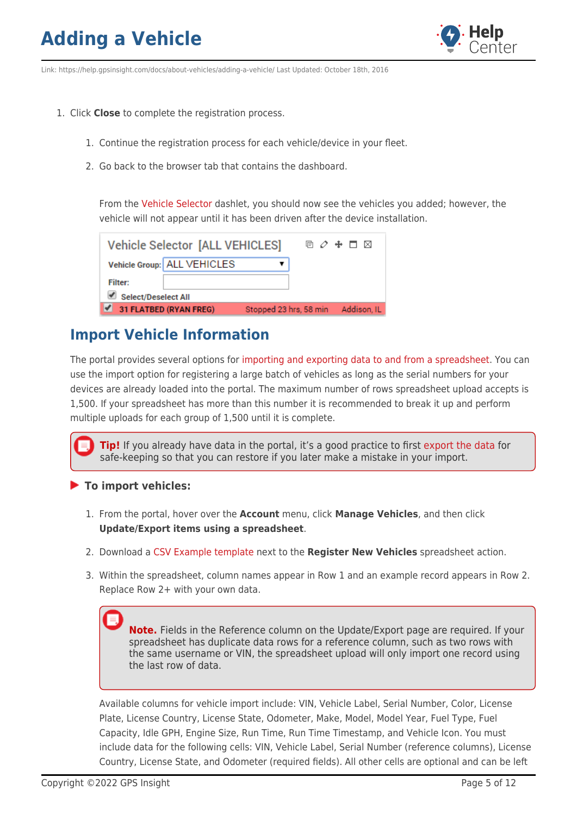

Link: https://help.gpsinsight.com/docs/about-vehicles/adding-a-vehicle/ Last Updated: October 18th, 2016

- 1. Click **Close** to complete the registration process.
	- 1. Continue the registration process for each vehicle/device in your fleet.
	- 2. Go back to the browser tab that contains the dashboard.

From the [Vehicle Selector](https://help.gpsinsight.com/docs/dashboards/dashlet-types/) dashlet, you should now see the vehicles you added; however, the vehicle will not appear until it has been driven after the device installation.

|                            | Vehicle Selector [ALL VEHICLES] |  | 回 ク ♣ □ ⊠                          |
|----------------------------|---------------------------------|--|------------------------------------|
|                            | Vehicle Group: ALL VEHICLES     |  |                                    |
| <b>Filter:</b>             |                                 |  |                                    |
| <b>Select/Deselect All</b> |                                 |  |                                    |
| 31 FLATBED (RYAN FREG)     |                                 |  | Stopped 23 hrs, 58 min Addison, IL |

#### **Import Vehicle Information**

The portal provides several options for [importing and exporting data to and from a spreadsheet](https://help.gpsinsight.com/deep-dive/how-do-i-import-or-export-data/). You can use the import option for registering a large batch of vehicles as long as the serial numbers for your devices are already loaded into the portal. The maximum number of rows spreadsheet upload accepts is 1,500. If your spreadsheet has more than this number it is recommended to break it up and perform multiple uploads for each group of 1,500 until it is complete.

**Tip!** If you already have data in the portal, it's a good practice to first [export the data](https://help.gpsinsight.com/docs/vehicle-setup/editing-a-vehicle/) for safe-keeping so that you can restore if you later make a mistake in your import.

#### **To import vehicles:**

- 1. From the portal, hover over the **Account** menu, click **Manage Vehicles**, and then click **Update/Export items using a spreadsheet**.
- 2. Download a [CSV Example template](http://portal.gpsinsight.com/user/import_examples/veh_new_1.csv) next to the **Register New Vehicles** spreadsheet action.
- 3. Within the spreadsheet, column names appear in Row 1 and an example record appears in Row 2. Replace Row 2+ with your own data.

**Note.** Fields in the Reference column on the Update/Export page are required. If your spreadsheet has duplicate data rows for a reference column, such as two rows with the same username or VIN, the spreadsheet upload will only import one record using the last row of data.

Available columns for vehicle import include: VIN, Vehicle Label, Serial Number, Color, License Plate, License Country, License State, Odometer, Make, Model, Model Year, Fuel Type, Fuel Capacity, Idle GPH, Engine Size, Run Time, Run Time Timestamp, and Vehicle Icon. You must include data for the following cells: VIN, Vehicle Label, Serial Number (reference columns), License Country, License State, and Odometer (required fields). All other cells are optional and can be left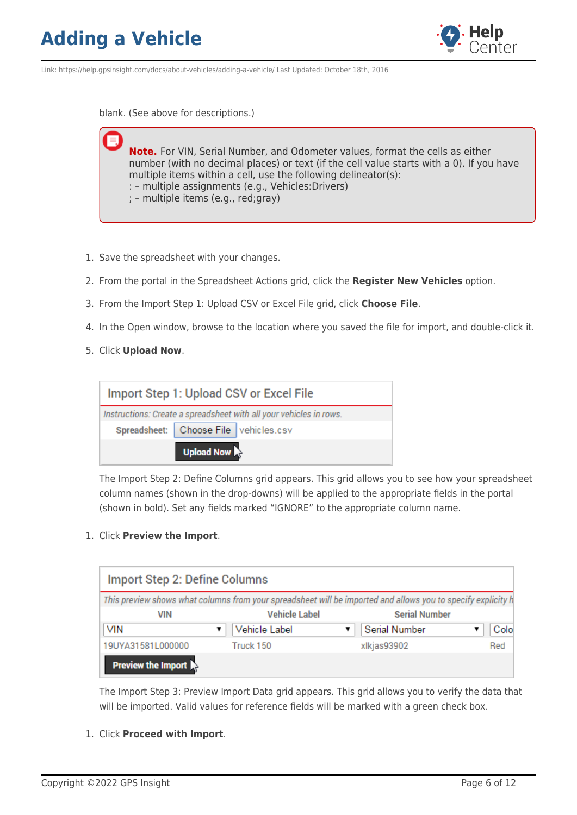

Link: https://help.gpsinsight.com/docs/about-vehicles/adding-a-vehicle/ Last Updated: October 18th, 2016

blank. (See above for descriptions.)

**Note.** For VIN, Serial Number, and Odometer values, format the cells as either number (with no decimal places) or text (if the cell value starts with a 0). If you have multiple items within a cell, use the following delineator(s): : – multiple assignments (e.g., Vehicles:Drivers)

- ; multiple items (e.g., red;gray)
- 1. Save the spreadsheet with your changes.
- 2. From the portal in the Spreadsheet Actions grid, click the **Register New Vehicles** option.
- 3. From the Import Step 1: Upload CSV or Excel File grid, click **Choose File**.
- 4. In the Open window, browse to the location where you saved the file for import, and double-click it.
- 5. Click **Upload Now**.

| Import Step 1: Upload CSV or Excel File                            |
|--------------------------------------------------------------------|
| Instructions: Create a spreadsheet with all your vehicles in rows. |
| Spreadsheet:   Choose File   vehicles.csv                          |
| Upload Now                                                         |

The Import Step 2: Define Columns grid appears. This grid allows you to see how your spreadsheet column names (shown in the drop-downs) will be applied to the appropriate fields in the portal (shown in bold). Set any fields marked "IGNORE" to the appropriate column name.

1. Click **Preview the Import**.

| <b>Import Step 2: Define Columns</b> |                                                                                                              |                      |      |
|--------------------------------------|--------------------------------------------------------------------------------------------------------------|----------------------|------|
|                                      | This preview shows what columns from your spreadsheet will be imported and allows you to specify explicity h |                      |      |
| <b>VIN</b>                           | <b>Vehicle Label</b>                                                                                         | <b>Serial Number</b> |      |
| VIN                                  | Vehicle Label                                                                                                | Serial Number        | Colo |
| 19UYA31581L000000                    | Truck 150                                                                                                    | xlkjas93902          | Red  |
| <b>Preview the Import</b>            |                                                                                                              |                      |      |

The Import Step 3: Preview Import Data grid appears. This grid allows you to verify the data that will be imported. Valid values for reference fields will be marked with a green check box.

1. Click **Proceed with Import**.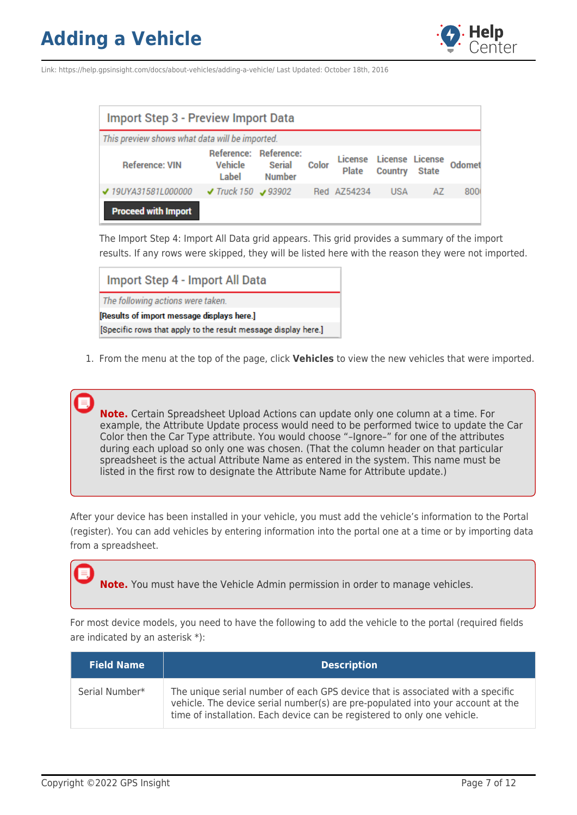

Link: https://help.gpsinsight.com/docs/about-vehicles/adding-a-vehicle/ Last Updated: October 18th, 2016

| Import Step 3 - Preview Import Data            |                                           |                         |       |                                         |                |              |        |
|------------------------------------------------|-------------------------------------------|-------------------------|-------|-----------------------------------------|----------------|--------------|--------|
| This preview shows what data will be imported. |                                           |                         |       |                                         |                |              |        |
| <b>Reference: VIN</b>                          | Reference: Reference:<br>Vehicle<br>Label | Serial<br><b>Number</b> | Color | License License License<br><b>Plate</b> | <b>Country</b> | <b>State</b> | Odomet |
| ✔ 19UYA31581L000000                            | $\sqrt{T}$ Truck 150 $\sqrt{93902}$       |                         |       | Red AZ54234                             | <b>USA</b>     | A7           | 8000   |
| <b>Proceed with Import</b>                     |                                           |                         |       |                                         |                |              |        |

The Import Step 4: Import All Data grid appears. This grid provides a summary of the import results. If any rows were skipped, they will be listed here with the reason they were not imported.

| Import Step 4 - Import All Data                                |
|----------------------------------------------------------------|
| The following actions were taken.                              |
| [Results of import message displays here.]                     |
| [Specific rows that apply to the result message display here.] |

1. From the menu at the top of the page, click **Vehicles** to view the new vehicles that were imported.

**Note.** Certain Spreadsheet Upload Actions can update only one column at a time. For example, the Attribute Update process would need to be performed twice to update the Car Color then the Car Type attribute. You would choose "–Ignore–" for one of the attributes during each upload so only one was chosen. (That the column header on that particular spreadsheet is the actual Attribute Name as entered in the system. This name must be listed in the first row to designate the Attribute Name for Attribute update.)

After your device has been installed in your vehicle, you must add the vehicle's information to the Portal (register). You can add vehicles by entering information into the portal one at a time or by importing data from a spreadsheet.

**Note.** You must have the Vehicle Admin permission in order to manage vehicles.

For most device models, you need to have the following to add the vehicle to the portal (required fields are indicated by an asterisk \*):

| <b>Field Name</b> | <b>Description</b>                                                                                                                                                                                                                            |
|-------------------|-----------------------------------------------------------------------------------------------------------------------------------------------------------------------------------------------------------------------------------------------|
| Serial Number*    | The unique serial number of each GPS device that is associated with a specific<br>vehicle. The device serial number(s) are pre-populated into your account at the<br>time of installation. Each device can be registered to only one vehicle. |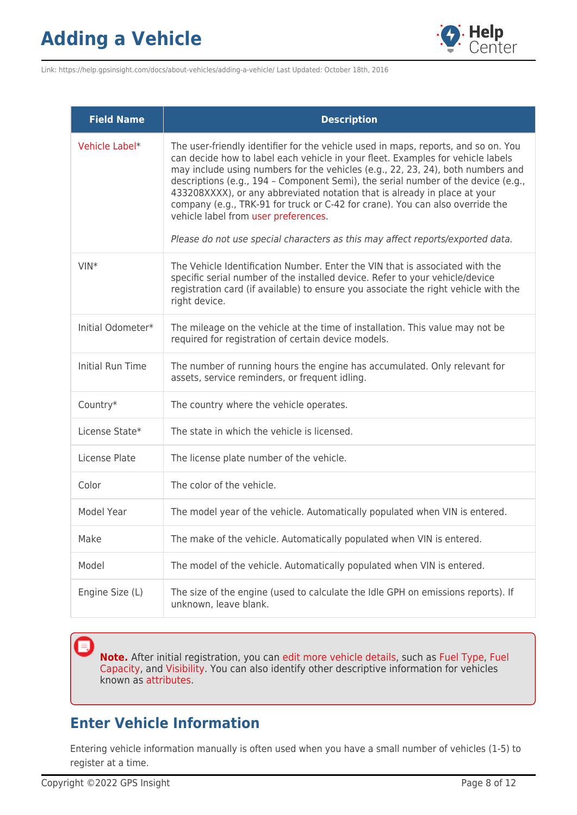

Link: https://help.gpsinsight.com/docs/about-vehicles/adding-a-vehicle/ Last Updated: October 18th, 2016

| <b>Field Name</b>       | <b>Description</b>                                                                                                                                                                                                                                                                                                                                                                                                                                                                                                                                                                                                                    |  |  |
|-------------------------|---------------------------------------------------------------------------------------------------------------------------------------------------------------------------------------------------------------------------------------------------------------------------------------------------------------------------------------------------------------------------------------------------------------------------------------------------------------------------------------------------------------------------------------------------------------------------------------------------------------------------------------|--|--|
| Vehicle Label*          | The user-friendly identifier for the vehicle used in maps, reports, and so on. You<br>can decide how to label each vehicle in your fleet. Examples for vehicle labels<br>may include using numbers for the vehicles (e.g., 22, 23, 24), both numbers and<br>descriptions (e.g., 194 - Component Semi), the serial number of the device (e.g.,<br>433208XXXX), or any abbreviated notation that is already in place at your<br>company (e.g., TRK-91 for truck or C-42 for crane). You can also override the<br>vehicle label from user preferences.<br>Please do not use special characters as this may affect reports/exported data. |  |  |
| $VIN*$                  | The Vehicle Identification Number. Enter the VIN that is associated with the<br>specific serial number of the installed device. Refer to your vehicle/device<br>registration card (if available) to ensure you associate the right vehicle with the<br>right device.                                                                                                                                                                                                                                                                                                                                                                  |  |  |
| Initial Odometer*       | The mileage on the vehicle at the time of installation. This value may not be<br>required for registration of certain device models.                                                                                                                                                                                                                                                                                                                                                                                                                                                                                                  |  |  |
| <b>Initial Run Time</b> | The number of running hours the engine has accumulated. Only relevant for<br>assets, service reminders, or frequent idling.                                                                                                                                                                                                                                                                                                                                                                                                                                                                                                           |  |  |
| Country*                | The country where the vehicle operates.                                                                                                                                                                                                                                                                                                                                                                                                                                                                                                                                                                                               |  |  |
| License State*          | The state in which the vehicle is licensed.                                                                                                                                                                                                                                                                                                                                                                                                                                                                                                                                                                                           |  |  |
| License Plate           | The license plate number of the vehicle.                                                                                                                                                                                                                                                                                                                                                                                                                                                                                                                                                                                              |  |  |
| Color                   | The color of the vehicle.                                                                                                                                                                                                                                                                                                                                                                                                                                                                                                                                                                                                             |  |  |
| Model Year              | The model year of the vehicle. Automatically populated when VIN is entered.                                                                                                                                                                                                                                                                                                                                                                                                                                                                                                                                                           |  |  |
| Make                    | The make of the vehicle. Automatically populated when VIN is entered.                                                                                                                                                                                                                                                                                                                                                                                                                                                                                                                                                                 |  |  |
| Model                   | The model of the vehicle. Automatically populated when VIN is entered.                                                                                                                                                                                                                                                                                                                                                                                                                                                                                                                                                                |  |  |
| Engine Size (L)         | The size of the engine (used to calculate the Idle GPH on emissions reports). If<br>unknown, leave blank.                                                                                                                                                                                                                                                                                                                                                                                                                                                                                                                             |  |  |

**Note.** After initial registration, you can [edit more vehicle details,](https://help.gpsinsight.com/docs/vehicle-setup/editing-a-vehicle/) such as [Fuel Type](https://help.gpsinsight.com/docs/vehicle-setup/managing-fuel-and-emissions-information/), [Fuel](https://help.gpsinsight.com/docs/vehicle-setup/managing-fuel-and-emissions-information/) [Capacity,](https://help.gpsinsight.com/docs/vehicle-setup/managing-fuel-and-emissions-information/) and [Visibility](https://help.gpsinsight.com/deep-dive/how-do-i-hide-a-vehicles-location/). You can also identify other descriptive information for vehicles known as [attributes](https://help.gpsinsight.com/docs/about-attributes/).

#### **Enter Vehicle Information**

Entering vehicle information manually is often used when you have a small number of vehicles (1-5) to register at a time.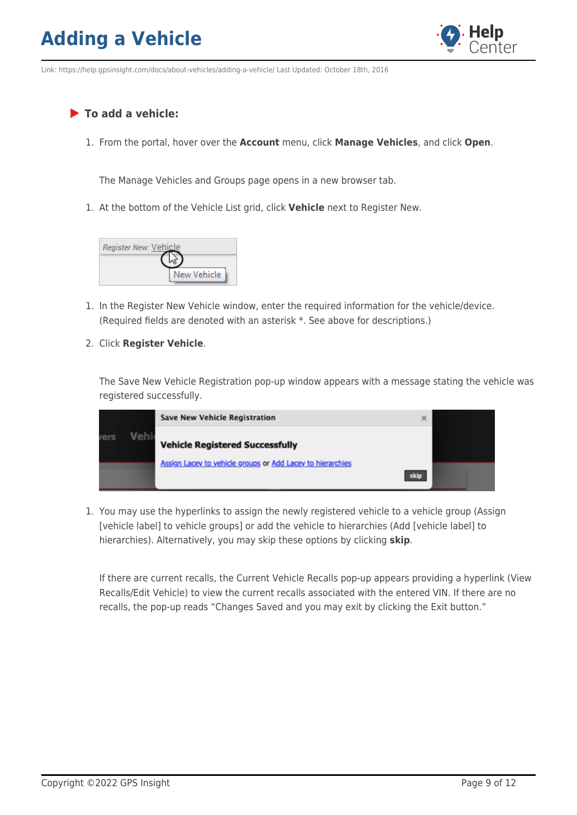

Link: https://help.gpsinsight.com/docs/about-vehicles/adding-a-vehicle/ Last Updated: October 18th, 2016

#### **To add a vehicle:**

1. From the portal, hover over the **Account** menu, click **Manage Vehicles**, and click **Open**.

The Manage Vehicles and Groups page opens in a new browser tab.

1. At the bottom of the Vehicle List grid, click **Vehicle** next to Register New.



- 1. In the Register New Vehicle window, enter the required information for the vehicle/device. (Required fields are denoted with an asterisk \*. See above for descriptions.)
- 2. Click **Register Vehicle**.

The Save New Vehicle Registration pop-up window appears with a message stating the vehicle was registered successfully.

|      |     | Save New Vehicle Registration<br>$\times$                          |  |  |  |
|------|-----|--------------------------------------------------------------------|--|--|--|
| rers | Vel | <b>Vehicle Registered Successfully</b>                             |  |  |  |
|      |     | Assign Lacey to vehicle groups or Add Lacey to hierarchies<br>skip |  |  |  |

1. You may use the hyperlinks to assign the newly registered vehicle to a vehicle group (Assign [vehicle label] to vehicle groups] or add the vehicle to hierarchies (Add [vehicle label] to hierarchies). Alternatively, you may skip these options by clicking **skip**.

If there are current recalls, the Current Vehicle Recalls pop-up appears providing a hyperlink (View Recalls/Edit Vehicle) to view the current recalls associated with the entered VIN. If there are no recalls, the pop-up reads "Changes Saved and you may exit by clicking the Exit button."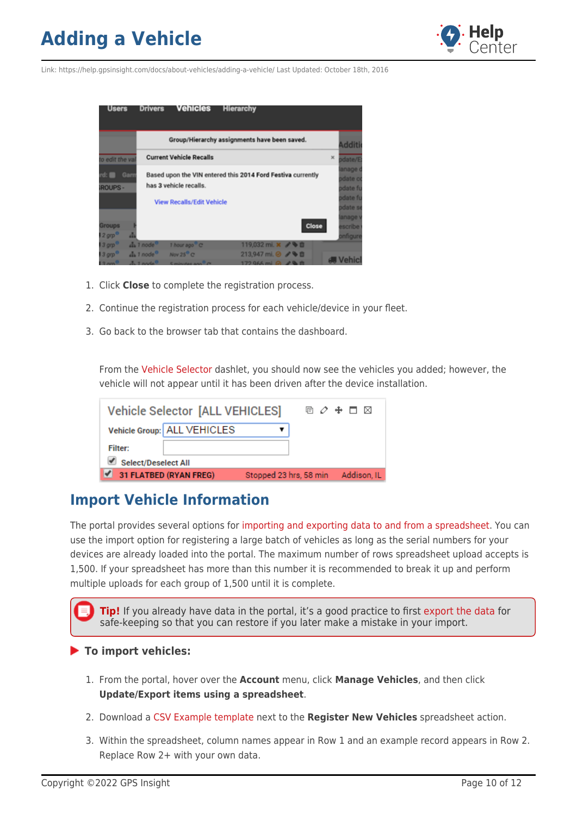

Link: https://help.gpsinsight.com/docs/about-vehicles/adding-a-vehicle/ Last Updated: October 18th, 2016



- 1. Click **Close** to complete the registration process.
- 2. Continue the registration process for each vehicle/device in your fleet.
- 3. Go back to the browser tab that contains the dashboard.

From the [Vehicle Selector](https://help.gpsinsight.com/docs/dashboards/dashlet-types/) dashlet, you should now see the vehicles you added; however, the vehicle will not appear until it has been driven after the device installation.

| <b>Vehicle Selector [ALL VEHICLES]</b> |                        |             |
|----------------------------------------|------------------------|-------------|
| Vehicle Group: ALL VEHICLES            |                        |             |
| <b>Filter:</b>                         |                        |             |
| <b>Select/Deselect All</b>             |                        |             |
| 31 FLATBED (RYAN FREG)                 | Stopped 23 hrs, 58 min | Addison, IL |

#### **Import Vehicle Information**

The portal provides several options for [importing and exporting data to and from a spreadsheet](https://help.gpsinsight.com/deep-dive/how-do-i-import-or-export-data/). You can use the import option for registering a large batch of vehicles as long as the serial numbers for your devices are already loaded into the portal. The maximum number of rows spreadsheet upload accepts is 1,500. If your spreadsheet has more than this number it is recommended to break it up and perform multiple uploads for each group of 1,500 until it is complete.

**Tip!** If you already have data in the portal, it's a good practice to first [export the data](https://help.gpsinsight.com/docs/vehicle-setup/editing-a-vehicle/) for safe-keeping so that you can restore if you later make a mistake in your import.

#### **To import vehicles:**

- 1. From the portal, hover over the **Account** menu, click **Manage Vehicles**, and then click **Update/Export items using a spreadsheet**.
- 2. Download a [CSV Example template](http://portal.gpsinsight.com/user/import_examples/veh_new_1.csv) next to the **Register New Vehicles** spreadsheet action.
- 3. Within the spreadsheet, column names appear in Row 1 and an example record appears in Row 2. Replace Row 2+ with your own data.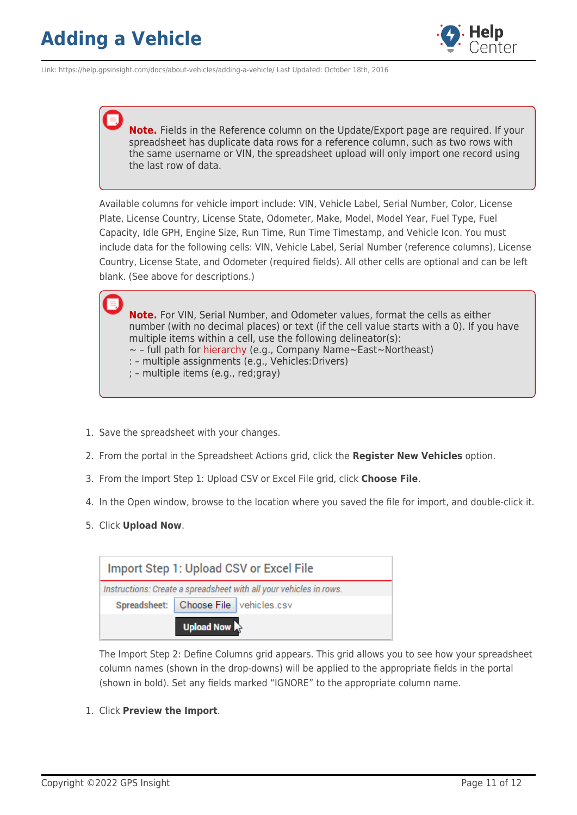

Link: https://help.gpsinsight.com/docs/about-vehicles/adding-a-vehicle/ Last Updated: October 18th, 2016

**Note.** Fields in the Reference column on the Update/Export page are required. If your spreadsheet has duplicate data rows for a reference column, such as two rows with the same username or VIN, the spreadsheet upload will only import one record using the last row of data.

Available columns for vehicle import include: VIN, Vehicle Label, Serial Number, Color, License Plate, License Country, License State, Odometer, Make, Model, Model Year, Fuel Type, Fuel Capacity, Idle GPH, Engine Size, Run Time, Run Time Timestamp, and Vehicle Icon. You must include data for the following cells: VIN, Vehicle Label, Serial Number (reference columns), License Country, License State, and Odometer (required fields). All other cells are optional and can be left blank. (See above for descriptions.)

**Note.** For VIN, Serial Number, and Odometer values, format the cells as either number (with no decimal places) or text (if the cell value starts with a 0). If you have multiple items within a cell, use the following delineator(s):  $\sim$  - full path for [hierarchy](https://help.gpsinsight.com/docs/about-hierarchies/configuring-hierarchy-access/) (e.g., Company Name $\sim$ East $\sim$ Northeast) : – multiple assignments (e.g., Vehicles:Drivers)

- ; multiple items (e.g., red;gray)
- 1. Save the spreadsheet with your changes.
- 2. From the portal in the Spreadsheet Actions grid, click the **Register New Vehicles** option.
- 3. From the Import Step 1: Upload CSV or Excel File grid, click **Choose File**.
- 4. In the Open window, browse to the location where you saved the file for import, and double-click it.
- 5. Click **Upload Now**.



The Import Step 2: Define Columns grid appears. This grid allows you to see how your spreadsheet column names (shown in the drop-downs) will be applied to the appropriate fields in the portal (shown in bold). Set any fields marked "IGNORE" to the appropriate column name.

1. Click **Preview the Import**.